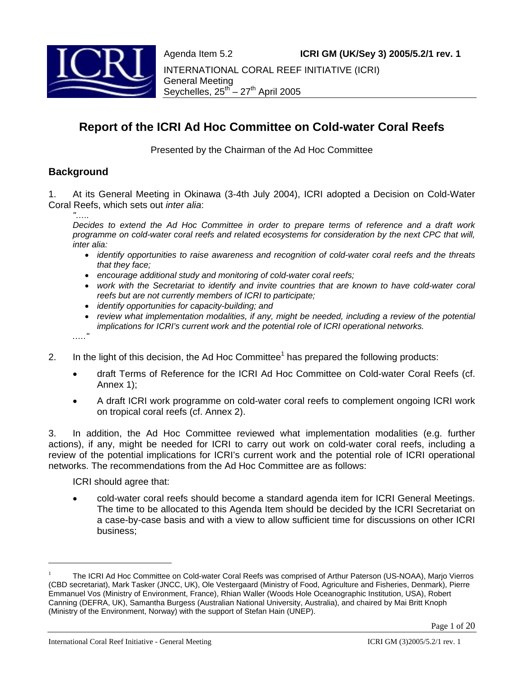Agenda Item 5.2 **ICRI GM (UK/Sey 3) 2005/5.2/1 rev. 1**



INTERNATIONAL CORAL REEF INITIATIVE (ICRI) General Meeting Seychelles,  $25^{th} - 27^{th}$  April 2005

# **Report of the ICRI Ad Hoc Committee on Cold-water Coral Reefs**

Presented by the Chairman of the Ad Hoc Committee

# **Background**

1. At its General Meeting in Okinawa (3-4th July 2004), ICRI adopted a Decision on Cold-Water Coral Reefs, which sets out *inter alia*:

*"…..* 

*Decides to extend the Ad Hoc Committee in order to prepare terms of reference and a draft work programme on cold-water coral reefs and related ecosystems for consideration by the next CPC that will, inter alia:* 

- *identify opportunities to raise awareness and recognition of cold-water coral reefs and the threats that they face;*
- *encourage additional study and monitoring of cold-water coral reefs;*
- *work with the Secretariat to identify and invite countries that are known to have cold-water coral reefs but are not currently members of ICRI to participate;*
- *identify opportunities for capacity-building; and*
- *review what implementation modalities, if any, might be needed, including a review of the potential implications for ICRI's current work and the potential role of ICRI operational networks.*

*.…."*

l

- 2. In the light of this decision, the Ad Hoc Committee<sup>1</sup> has prepared the following products:
	- draft Terms of Reference for the ICRI Ad Hoc Committee on Cold-water Coral Reefs (cf. Annex 1);
	- A draft ICRI work programme on cold-water coral reefs to complement ongoing ICRI work on tropical coral reefs (cf. Annex 2).

3. In addition, the Ad Hoc Committee reviewed what implementation modalities (e.g. further actions), if any, might be needed for ICRI to carry out work on cold-water coral reefs, including a review of the potential implications for ICRI's current work and the potential role of ICRI operational networks. The recommendations from the Ad Hoc Committee are as follows:

ICRI should agree that:

• cold-water coral reefs should become a standard agenda item for ICRI General Meetings. The time to be allocated to this Agenda Item should be decided by the ICRI Secretariat on a case-by-case basis and with a view to allow sufficient time for discussions on other ICRI business;

<sup>1</sup> The ICRI Ad Hoc Committee on Cold-water Coral Reefs was comprised of Arthur Paterson (US-NOAA), Marjo Vierros (CBD secretariat), Mark Tasker (JNCC, UK), Ole Vestergaard (Ministry of Food, Agriculture and Fisheries, Denmark), Pierre Emmanuel Vos (Ministry of Environment, France), Rhian Waller (Woods Hole Oceanographic Institution, USA), Robert Canning (DEFRA, UK), Samantha Burgess (Australian National University, Australia), and chaired by Mai Britt Knoph (Ministry of the Environment, Norway) with the support of Stefan Hain (UNEP).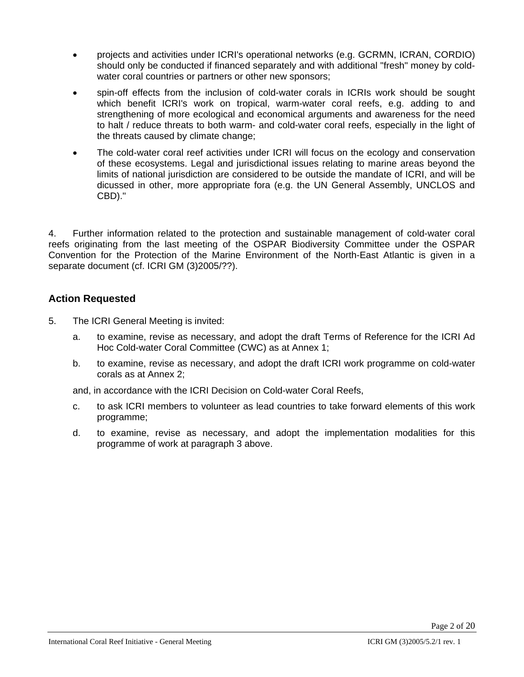- projects and activities under ICRI's operational networks (e.g. GCRMN, ICRAN, CORDIO) should only be conducted if financed separately and with additional "fresh" money by coldwater coral countries or partners or other new sponsors;
- spin-off effects from the inclusion of cold-water corals in ICRIs work should be sought which benefit ICRI's work on tropical, warm-water coral reefs, e.g. adding to and strengthening of more ecological and economical arguments and awareness for the need to halt / reduce threats to both warm- and cold-water coral reefs, especially in the light of the threats caused by climate change;
- The cold-water coral reef activities under ICRI will focus on the ecology and conservation of these ecosystems. Legal and jurisdictional issues relating to marine areas beyond the limits of national jurisdiction are considered to be outside the mandate of ICRI, and will be dicussed in other, more appropriate fora (e.g. the UN General Assembly, UNCLOS and CBD)."

4. Further information related to the protection and sustainable management of cold-water coral reefs originating from the last meeting of the OSPAR Biodiversity Committee under the OSPAR Convention for the Protection of the Marine Environment of the North-East Atlantic is given in a separate document (cf. ICRI GM (3)2005/??).

# **Action Requested**

- 5. The ICRI General Meeting is invited:
	- a. to examine, revise as necessary, and adopt the draft Terms of Reference for the ICRI Ad Hoc Cold-water Coral Committee (CWC) as at Annex 1;
	- b. to examine, revise as necessary, and adopt the draft ICRI work programme on cold-water corals as at Annex 2;

and, in accordance with the ICRI Decision on Cold-water Coral Reefs,

- c. to ask ICRI members to volunteer as lead countries to take forward elements of this work programme;
- d. to examine, revise as necessary, and adopt the implementation modalities for this programme of work at paragraph 3 above.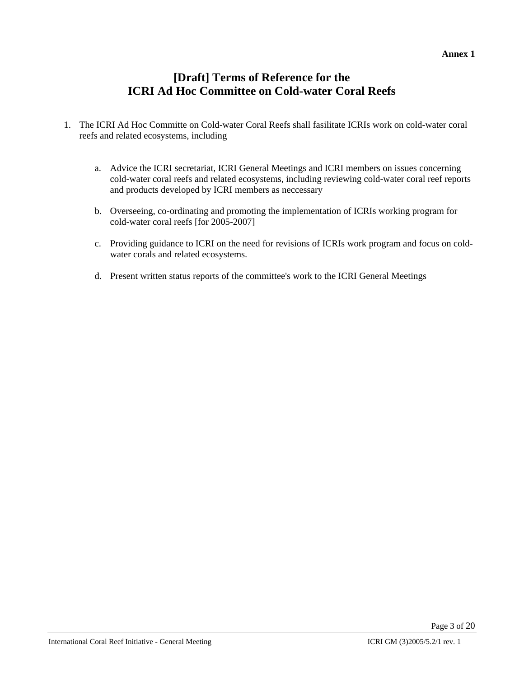## **Annex 1**

# **[Draft] Terms of Reference for the ICRI Ad Hoc Committee on Cold-water Coral Reefs**

- 1. The ICRI Ad Hoc Committe on Cold-water Coral Reefs shall fasilitate ICRIs work on cold-water coral reefs and related ecosystems, including
	- a. Advice the ICRI secretariat, ICRI General Meetings and ICRI members on issues concerning cold-water coral reefs and related ecosystems, including reviewing cold-water coral reef reports and products developed by ICRI members as neccessary
	- b. Overseeing, co-ordinating and promoting the implementation of ICRIs working program for cold-water coral reefs [for 2005-2007]
	- c. Providing guidance to ICRI on the need for revisions of ICRIs work program and focus on coldwater corals and related ecosystems.
	- d. Present written status reports of the committee's work to the ICRI General Meetings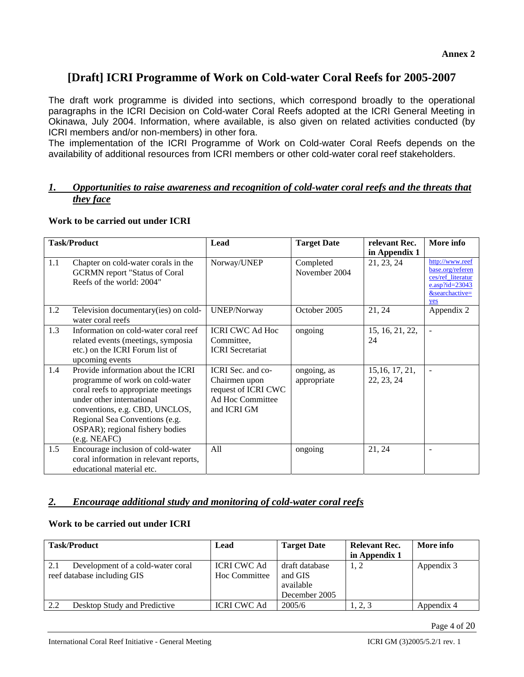# **[Draft] ICRI Programme of Work on Cold-water Coral Reefs for 2005-2007**

The draft work programme is divided into sections, which correspond broadly to the operational paragraphs in the ICRI Decision on Cold-water Coral Reefs adopted at the ICRI General Meeting in Okinawa, July 2004. Information, where available, is also given on related activities conducted (by ICRI members and/or non-members) in other fora.

The implementation of the ICRI Programme of Work on Cold-water Coral Reefs depends on the availability of additional resources from ICRI members or other cold-water coral reef stakeholders.

## *1. Opportunities to raise awareness and recognition of cold-water coral reefs and the threats that they face*

## **Work to be carried out under ICRI**

|     | <b>Task/Product</b>                                                                                                                                                                                                                                              | Lead                                                                                         | <b>Target Date</b>         | relevant Rec.                 | More info                                                                                              |
|-----|------------------------------------------------------------------------------------------------------------------------------------------------------------------------------------------------------------------------------------------------------------------|----------------------------------------------------------------------------------------------|----------------------------|-------------------------------|--------------------------------------------------------------------------------------------------------|
|     |                                                                                                                                                                                                                                                                  |                                                                                              |                            | in Appendix 1                 |                                                                                                        |
| 1.1 | Chapter on cold-water corals in the<br><b>GCRMN</b> report "Status of Coral<br>Reefs of the world: 2004"                                                                                                                                                         | Norway/UNEP                                                                                  | Completed<br>November 2004 | 21, 23, 24                    | http://www.reef<br>base.org/referen<br>ces/ref_literatur<br>e.asp?id= $23043$<br>&searchactive=<br>yes |
| 1.2 | Television documentary(ies) on cold-<br>water coral reefs                                                                                                                                                                                                        | <b>UNEP/Norway</b>                                                                           | October 2005               | 21, 24                        | Appendix 2                                                                                             |
| 1.3 | Information on cold-water coral reef<br>related events (meetings, symposia<br>etc.) on the ICRI Forum list of<br>upcoming events                                                                                                                                 | <b>ICRI CWC Ad Hoc</b><br>Committee,<br><b>ICRI</b> Secretariat                              | ongoing                    | 15, 16, 21, 22,<br>24         |                                                                                                        |
| 1.4 | Provide information about the ICRI<br>programme of work on cold-water<br>coral reefs to appropriate meetings<br>under other international<br>conventions, e.g. CBD, UNCLOS,<br>Regional Sea Conventions (e.g.<br>OSPAR); regional fishery bodies<br>(e.g. NEAFC) | ICRI Sec. and co-<br>Chairmen upon<br>request of ICRI CWC<br>Ad Hoc Committee<br>and ICRI GM | ongoing, as<br>appropriate | 15, 16, 17, 21,<br>22, 23, 24 | $\blacksquare$                                                                                         |
| 1.5 | Encourage inclusion of cold-water<br>coral information in relevant reports,<br>educational material etc.                                                                                                                                                         | All                                                                                          | ongoing                    | 21, 24                        |                                                                                                        |

## *2. Encourage additional study and monitoring of cold-water coral reefs*

## **Work to be carried out under ICRI**

| <b>Task/Product</b> |                                                                  | Lead                                | <b>Target Date</b>                                      | <b>Relevant Rec.</b><br>in Appendix 1 | More info  |
|---------------------|------------------------------------------------------------------|-------------------------------------|---------------------------------------------------------|---------------------------------------|------------|
| 2.1                 | Development of a cold-water coral<br>reef database including GIS | <b>ICRI CWC Ad</b><br>Hoc Committee | draft database<br>and GIS<br>available<br>December 2005 | 1, 2                                  | Appendix 3 |
| 2.2                 | Desktop Study and Predictive                                     | <b>ICRI CWC Ad</b>                  | 2005/6                                                  | 1, 2, 3                               | Appendix 4 |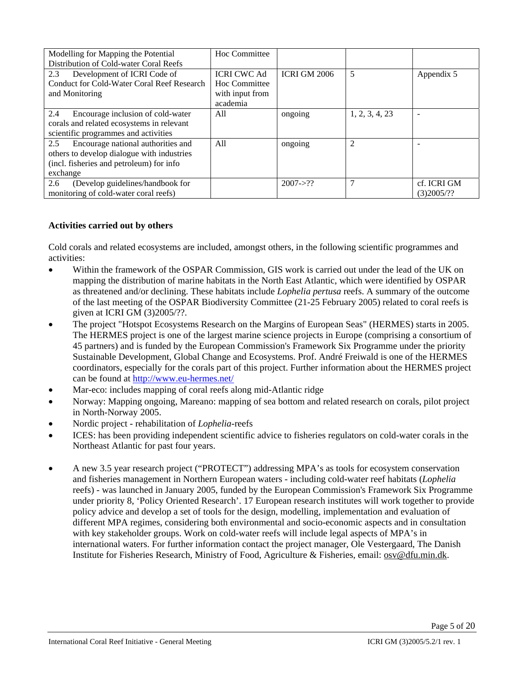| Modelling for Mapping the Potential        | Hoc Committee      |                     |                |             |
|--------------------------------------------|--------------------|---------------------|----------------|-------------|
| Distribution of Cold-water Coral Reefs     |                    |                     |                |             |
| 2.3<br>Development of ICRI Code of         | <b>ICRI CWC Ad</b> | <b>ICRI GM 2006</b> | 5              | Appendix 5  |
| Conduct for Cold-Water Coral Reef Research | Hoc Committee      |                     |                |             |
| and Monitoring                             | with input from    |                     |                |             |
|                                            | academia           |                     |                |             |
| 2.4<br>Encourage inclusion of cold-water   | All                | ongoing             | 1, 2, 3, 4, 23 |             |
| corals and related ecosystems in relevant  |                    |                     |                |             |
| scientific programmes and activities       |                    |                     |                |             |
| 2.5<br>Encourage national authorities and  | All                | ongoing             | 2              |             |
| others to develop dialogue with industries |                    |                     |                |             |
| (incl. fisheries and petroleum) for info   |                    |                     |                |             |
| exchange                                   |                    |                     |                |             |
| 2.6<br>(Develop guidelines/handbook for    |                    | $2007 - > ??$       |                | cf. ICRI GM |
| monitoring of cold-water coral reefs)      |                    |                     |                | (3)2005/??  |

## **Activities carried out by others**

Cold corals and related ecosystems are included, amongst others, in the following scientific programmes and activities:

- Within the framework of the OSPAR Commission, GIS work is carried out under the lead of the UK on mapping the distribution of marine habitats in the North East Atlantic, which were identified by OSPAR as threatened and/or declining. These habitats include *Lophelia pertusa* reefs. A summary of the outcome of the last meeting of the OSPAR Biodiversity Committee (21-25 February 2005) related to coral reefs is given at ICRI GM (3)2005/??.
- The project "Hotspot Ecosystems Research on the Margins of European Seas" (HERMES) starts in 2005. The HERMES project is one of the largest marine science projects in Europe (comprising a consortium of 45 partners) and is funded by the European Commission's Framework Six Programme under the priority Sustainable Development, Global Change and Ecosystems. Prof. André Freiwald is one of the HERMES coordinators, especially for the corals part of this project. Further information about the HERMES project can be found at http://www.eu-hermes.net/
- Mar-eco: includes mapping of coral reefs along mid-Atlantic ridge
- Norway: Mapping ongoing, Mareano: mapping of sea bottom and related research on corals, pilot project in North-Norway 2005.
- Nordic project rehabilitation of *Lophelia*-reefs
- ICES: has been providing independent scientific advice to fisheries regulators on cold-water corals in the Northeast Atlantic for past four years.
- A new 3.5 year research project ("PROTECT") addressing MPA's as tools for ecosystem conservation and fisheries management in Northern European waters - including cold-water reef habitats (*Lophelia* reefs) - was launched in January 2005, funded by the European Commission's Framework Six Programme under priority 8, 'Policy Oriented Research'. 17 European research institutes will work together to provide policy advice and develop a set of tools for the design, modelling, implementation and evaluation of different MPA regimes, considering both environmental and socio-economic aspects and in consultation with key stakeholder groups. Work on cold-water reefs will include legal aspects of MPA's in international waters. For further information contact the project manager, Ole Vestergaard, The Danish Institute for Fisheries Research, Ministry of Food, Agriculture & Fisheries, email: osv@dfu.min.dk.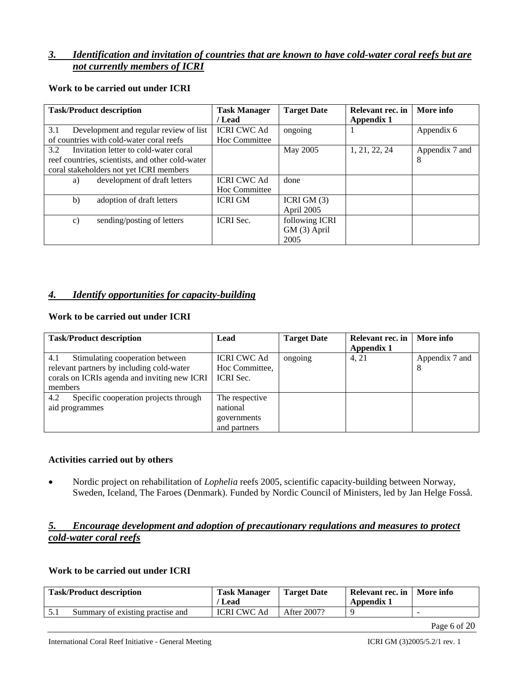# *3. Identification and invitation of countries that are known to have cold-water coral reefs but are not currently members of ICRI*

| <b>Task/Product description</b>                  | <b>Task Manager</b> | <b>Target Date</b> | Relevant rec. in | More info      |
|--------------------------------------------------|---------------------|--------------------|------------------|----------------|
|                                                  | / Lead              |                    | Appendix 1       |                |
| 3.1<br>Development and regular review of list    | <b>ICRI CWC Ad</b>  | ongoing            |                  | Appendix 6     |
| of countries with cold-water coral reefs         | Hoc Committee       |                    |                  |                |
| 3.2<br>Invitation letter to cold-water coral     |                     | May 2005           | 1, 21, 22, 24    | Appendix 7 and |
| reef countries, scientists, and other cold-water |                     |                    |                  | 8              |
| coral stakeholders not yet ICRI members          |                     |                    |                  |                |
| development of draft letters<br>a)               | <b>ICRI CWC Ad</b>  | done               |                  |                |
|                                                  | Hoc Committee       |                    |                  |                |
| b)<br>adoption of draft letters                  | <b>ICRI GM</b>      | ICRI GM $(3)$      |                  |                |
|                                                  |                     | April 2005         |                  |                |
| sending/posting of letters<br>$\mathbf{c}$       | <b>ICRI</b> Sec.    | following ICRI     |                  |                |
|                                                  |                     | GM (3) April       |                  |                |
|                                                  |                     | 2005               |                  |                |

### **Work to be carried out under ICRI**

# *4. Identify opportunities for capacity-building*

## **Work to be carried out under ICRI**

| <b>Task/Product description</b>                                                                                                     | Lead                                                      | <b>Target Date</b> | Relevant rec. in<br>Appendix 1 | More info           |
|-------------------------------------------------------------------------------------------------------------------------------------|-----------------------------------------------------------|--------------------|--------------------------------|---------------------|
| 4.1<br>Stimulating cooperation between<br>relevant partners by including cold-water<br>corals on ICRIs agenda and inviting new ICRI | <b>ICRI CWC Ad</b><br>Hoc Committee,<br><b>ICRI</b> Sec.  | ongoing            | 4.21                           | Appendix 7 and<br>8 |
| members                                                                                                                             |                                                           |                    |                                |                     |
| Specific cooperation projects through<br>4.2<br>aid programmes                                                                      | The respective<br>national<br>governments<br>and partners |                    |                                |                     |

### **Activities carried out by others**

• Nordic project on rehabilitation of *Lophelia* reefs 2005, scientific capacity-building between Norway, Sweden, Iceland, The Faroes (Denmark). Funded by Nordic Council of Ministers, led by Jan Helge Fosså.

# *5. Encourage development and adoption of precautionary regulations and measures to protect cold-water coral reefs*

### **Work to be carried out under ICRI**

|     | <b>Task/Product description</b>  | <b>Task Manager</b><br>' Lead | Target Date | Relevant rec. in   More info<br>Appendix 1 |                          |
|-----|----------------------------------|-------------------------------|-------------|--------------------------------------------|--------------------------|
| 5.1 | Summary of existing practise and | <b>ICRI CWC Ad</b>            | After 2007? |                                            | $\overline{\phantom{a}}$ |

Page 6 of 20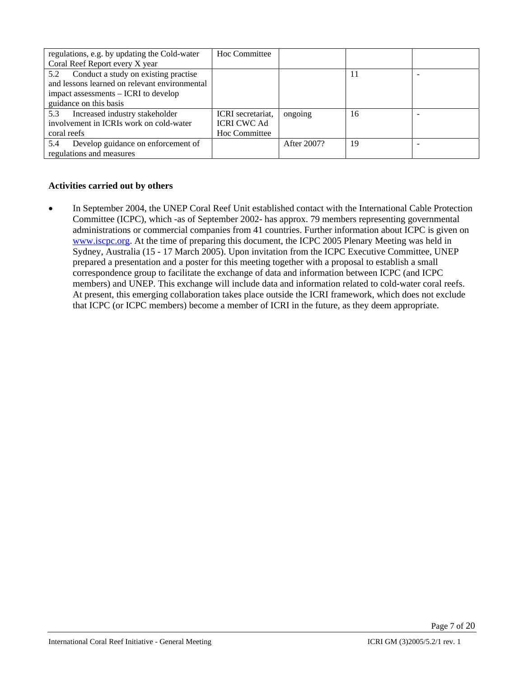| regulations, e.g. by updating the Cold-water  | Hoc Committee      |             |    |  |
|-----------------------------------------------|--------------------|-------------|----|--|
| Coral Reef Report every X year                |                    |             |    |  |
| Conduct a study on existing practise<br>5.2   |                    |             | 11 |  |
| and lessons learned on relevant environmental |                    |             |    |  |
| impact assessments – ICRI to develop          |                    |             |    |  |
| guidance on this basis                        |                    |             |    |  |
| Increased industry stakeholder<br>5.3         | ICRI secretariat.  | ongoing     | 16 |  |
| involvement in ICRIs work on cold-water       | <b>ICRI CWC Ad</b> |             |    |  |
| coral reefs                                   | Hoc Committee      |             |    |  |
| Develop guidance on enforcement of<br>5.4     |                    | After 2007? | 19 |  |
| regulations and measures                      |                    |             |    |  |

# **Activities carried out by others**

• In September 2004, the UNEP Coral Reef Unit established contact with the International Cable Protection Committee (ICPC), which -as of September 2002- has approx. 79 members representing governmental administrations or commercial companies from 41 countries. Further information about ICPC is given on www.iscpc.org. At the time of preparing this document, the ICPC 2005 Plenary Meeting was held in Sydney, Australia (15 - 17 March 2005). Upon invitation from the ICPC Executive Committee, UNEP prepared a presentation and a poster for this meeting together with a proposal to establish a small correspondence group to facilitate the exchange of data and information between ICPC (and ICPC members) and UNEP. This exchange will include data and information related to cold-water coral reefs. At present, this emerging collaboration takes place outside the ICRI framework, which does not exclude that ICPC (or ICPC members) become a member of ICRI in the future, as they deem appropriate.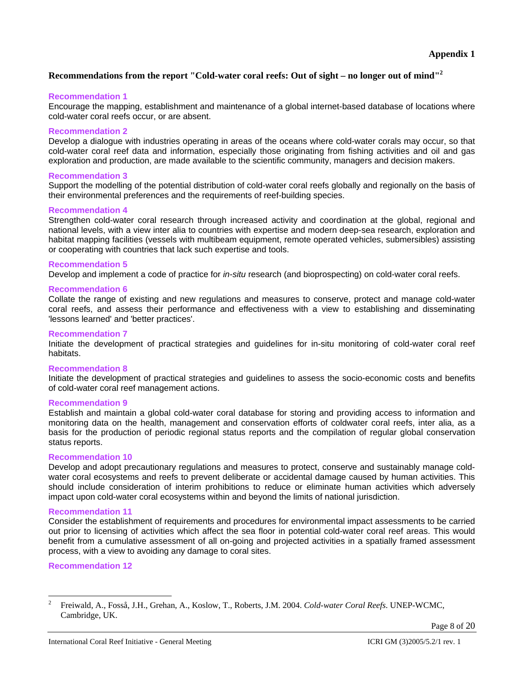## **Recommendations from the report "Cold-water coral reefs: Out of sight – no longer out of mind"<sup>2</sup>**

### **Recommendation 1**

Encourage the mapping, establishment and maintenance of a global internet-based database of locations where cold-water coral reefs occur, or are absent.

### **Recommendation 2**

Develop a dialogue with industries operating in areas of the oceans where cold-water corals may occur, so that cold-water coral reef data and information, especially those originating from fishing activities and oil and gas exploration and production, are made available to the scientific community, managers and decision makers.

### **Recommendation 3**

Support the modelling of the potential distribution of cold-water coral reefs globally and regionally on the basis of their environmental preferences and the requirements of reef-building species.

### **Recommendation 4**

Strengthen cold-water coral research through increased activity and coordination at the global, regional and national levels, with a view inter alia to countries with expertise and modern deep-sea research, exploration and habitat mapping facilities (vessels with multibeam equipment, remote operated vehicles, submersibles) assisting or cooperating with countries that lack such expertise and tools.

### **Recommendation 5**

Develop and implement a code of practice for *in-situ* research (and bioprospecting) on cold-water coral reefs.

### **Recommendation 6**

Collate the range of existing and new regulations and measures to conserve, protect and manage cold-water coral reefs, and assess their performance and effectiveness with a view to establishing and disseminating 'lessons learned' and 'better practices'.

### **Recommendation 7**

Initiate the development of practical strategies and guidelines for in-situ monitoring of cold-water coral reef habitats.

### **Recommendation 8**

Initiate the development of practical strategies and guidelines to assess the socio-economic costs and benefits of cold-water coral reef management actions.

### **Recommendation 9**

Establish and maintain a global cold-water coral database for storing and providing access to information and monitoring data on the health, management and conservation efforts of coldwater coral reefs, inter alia, as a basis for the production of periodic regional status reports and the compilation of regular global conservation status reports.

### **Recommendation 10**

Develop and adopt precautionary regulations and measures to protect, conserve and sustainably manage coldwater coral ecosystems and reefs to prevent deliberate or accidental damage caused by human activities. This should include consideration of interim prohibitions to reduce or eliminate human activities which adversely impact upon cold-water coral ecosystems within and beyond the limits of national jurisdiction.

### **Recommendation 11**

Consider the establishment of requirements and procedures for environmental impact assessments to be carried out prior to licensing of activities which affect the sea floor in potential cold-water coral reef areas. This would benefit from a cumulative assessment of all on-going and projected activities in a spatially framed assessment process, with a view to avoiding any damage to coral sites.

### **Recommendation 12**

l

<sup>2</sup> Freiwald, A., Fosså, J.H., Grehan, A., Koslow, T., Roberts, J.M. 2004. *Cold-water Coral Reefs*. UNEP-WCMC, Cambridge, UK.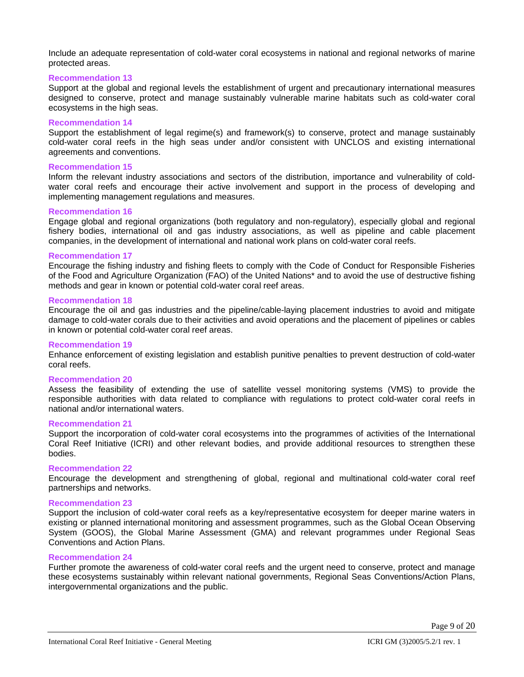Include an adequate representation of cold-water coral ecosystems in national and regional networks of marine protected areas.

#### **Recommendation 13**

Support at the global and regional levels the establishment of urgent and precautionary international measures designed to conserve, protect and manage sustainably vulnerable marine habitats such as cold-water coral ecosystems in the high seas.

#### **Recommendation 14**

Support the establishment of legal regime(s) and framework(s) to conserve, protect and manage sustainably cold-water coral reefs in the high seas under and/or consistent with UNCLOS and existing international agreements and conventions.

#### **Recommendation 15**

Inform the relevant industry associations and sectors of the distribution, importance and vulnerability of coldwater coral reefs and encourage their active involvement and support in the process of developing and implementing management regulations and measures.

#### **Recommendation 16**

Engage global and regional organizations (both regulatory and non-regulatory), especially global and regional fishery bodies, international oil and gas industry associations, as well as pipeline and cable placement companies, in the development of international and national work plans on cold-water coral reefs.

#### **Recommendation 17**

Encourage the fishing industry and fishing fleets to comply with the Code of Conduct for Responsible Fisheries of the Food and Agriculture Organization (FAO) of the United Nations\* and to avoid the use of destructive fishing methods and gear in known or potential cold-water coral reef areas.

#### **Recommendation 18**

Encourage the oil and gas industries and the pipeline/cable-laying placement industries to avoid and mitigate damage to cold-water corals due to their activities and avoid operations and the placement of pipelines or cables in known or potential cold-water coral reef areas.

#### **Recommendation 19**

Enhance enforcement of existing legislation and establish punitive penalties to prevent destruction of cold-water coral reefs.

#### **Recommendation 20**

Assess the feasibility of extending the use of satellite vessel monitoring systems (VMS) to provide the responsible authorities with data related to compliance with regulations to protect cold-water coral reefs in national and/or international waters.

#### **Recommendation 21**

Support the incorporation of cold-water coral ecosystems into the programmes of activities of the International Coral Reef Initiative (ICRI) and other relevant bodies, and provide additional resources to strengthen these bodies.

#### **Recommendation 22**

Encourage the development and strengthening of global, regional and multinational cold-water coral reef partnerships and networks.

#### **Recommendation 23**

Support the inclusion of cold-water coral reefs as a key/representative ecosystem for deeper marine waters in existing or planned international monitoring and assessment programmes, such as the Global Ocean Observing System (GOOS), the Global Marine Assessment (GMA) and relevant programmes under Regional Seas Conventions and Action Plans.

#### **Recommendation 24**

Further promote the awareness of cold-water coral reefs and the urgent need to conserve, protect and manage these ecosystems sustainably within relevant national governments, Regional Seas Conventions/Action Plans, intergovernmental organizations and the public.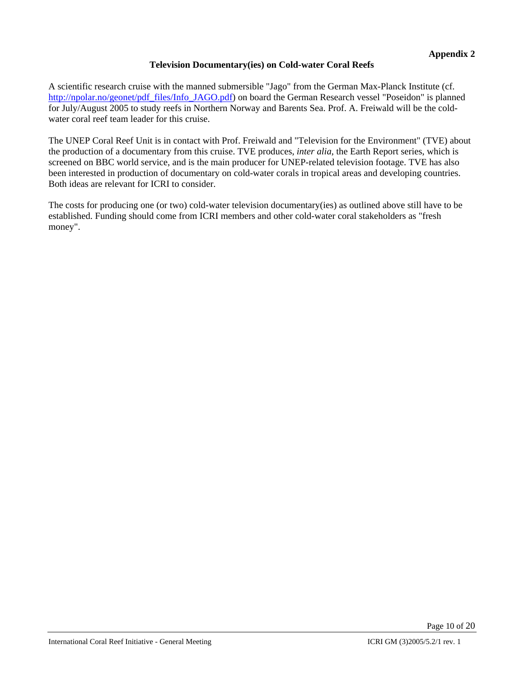## **Television Documentary(ies) on Cold-water Coral Reefs**

A scientific research cruise with the manned submersible "Jago" from the German Max-Planck Institute (cf. http://npolar.no/geonet/pdf\_files/Info\_JAGO.pdf) on board the German Research vessel "Poseidon" is planned for July/August 2005 to study reefs in Northern Norway and Barents Sea. Prof. A. Freiwald will be the coldwater coral reef team leader for this cruise.

The UNEP Coral Reef Unit is in contact with Prof. Freiwald and "Television for the Environment" (TVE) about the production of a documentary from this cruise. TVE produces, *inter alia*, the Earth Report series, which is screened on BBC world service, and is the main producer for UNEP-related television footage. TVE has also been interested in production of documentary on cold-water corals in tropical areas and developing countries. Both ideas are relevant for ICRI to consider.

The costs for producing one (or two) cold-water television documentary(ies) as outlined above still have to be established. Funding should come from ICRI members and other cold-water coral stakeholders as "fresh money".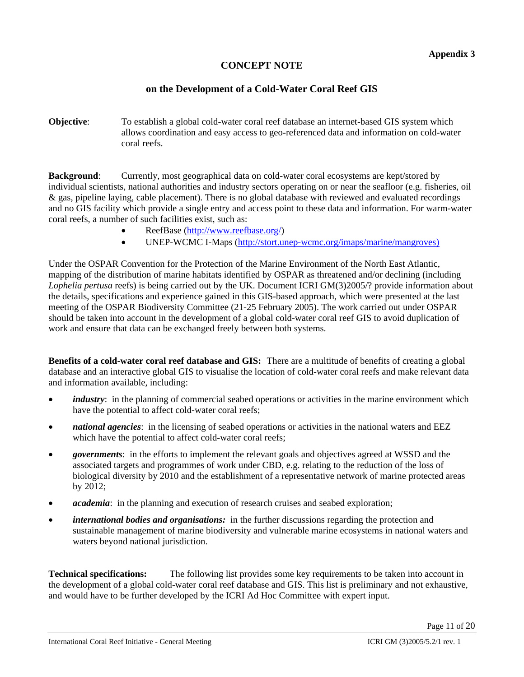# **CONCEPT NOTE**

# **on the Development of a Cold-Water Coral Reef GIS**

**Objective**: To establish a global cold-water coral reef database an internet-based GIS system which allows coordination and easy access to geo-referenced data and information on cold-water coral reefs.

**Background:** Currently, most geographical data on cold-water coral ecosystems are kept/stored by individual scientists, national authorities and industry sectors operating on or near the seafloor (e.g. fisheries, oil & gas, pipeline laying, cable placement). There is no global database with reviewed and evaluated recordings and no GIS facility which provide a single entry and access point to these data and information. For warm-water coral reefs, a number of such facilities exist, such as:

- ReefBase (http://www.reefbase.org/)
- UNEP-WCMC I-Maps (http://stort.unep-wcmc.org/imaps/marine/mangroves)

Under the OSPAR Convention for the Protection of the Marine Environment of the North East Atlantic, mapping of the distribution of marine habitats identified by OSPAR as threatened and/or declining (including *Lophelia pertusa* reefs) is being carried out by the UK. Document ICRI GM(3)2005/? provide information about the details, specifications and experience gained in this GIS-based approach, which were presented at the last meeting of the OSPAR Biodiversity Committee (21-25 February 2005). The work carried out under OSPAR should be taken into account in the development of a global cold-water coral reef GIS to avoid duplication of work and ensure that data can be exchanged freely between both systems.

**Benefits of a cold-water coral reef database and GIS:** There are a multitude of benefits of creating a global database and an interactive global GIS to visualise the location of cold-water coral reefs and make relevant data and information available, including:

- *industry*: in the planning of commercial seabed operations or activities in the marine environment which have the potential to affect cold-water coral reefs;
- *national agencies*: in the licensing of seabed operations or activities in the national waters and EEZ which have the potential to affect cold-water coral reefs;
- *governments*: in the efforts to implement the relevant goals and objectives agreed at WSSD and the associated targets and programmes of work under CBD, e.g. relating to the reduction of the loss of biological diversity by 2010 and the establishment of a representative network of marine protected areas by 2012;
- *academia*: in the planning and execution of research cruises and seabed exploration;
- *international bodies and organisations:* in the further discussions regarding the protection and sustainable management of marine biodiversity and vulnerable marine ecosystems in national waters and waters beyond national jurisdiction.

**Technical specifications:** The following list provides some key requirements to be taken into account in the development of a global cold-water coral reef database and GIS. This list is preliminary and not exhaustive, and would have to be further developed by the ICRI Ad Hoc Committee with expert input.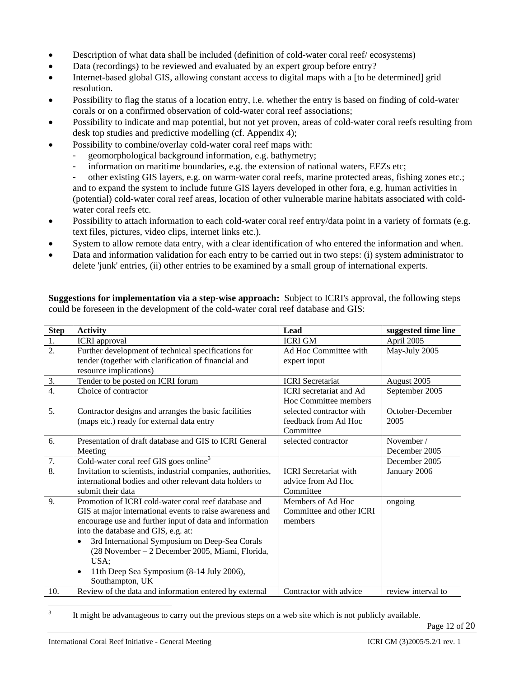- Description of what data shall be included (definition of cold-water coral reef/ ecosystems)
- Data (recordings) to be reviewed and evaluated by an expert group before entry?
- Internet-based global GIS, allowing constant access to digital maps with a [to be determined] grid resolution.
- Possibility to flag the status of a location entry, i.e. whether the entry is based on finding of cold-water corals or on a confirmed observation of cold-water coral reef associations;
- Possibility to indicate and map potential, but not yet proven, areas of cold-water coral reefs resulting from desk top studies and predictive modelling (cf. Appendix 4);
- Possibility to combine/overlay cold-water coral reef maps with:
	- geomorphological background information, e.g. bathymetry;
	- information on maritime boundaries, e.g. the extension of national waters, EEZs etc;

other existing GIS layers, e.g. on warm-water coral reefs, marine protected areas, fishing zones etc.; and to expand the system to include future GIS layers developed in other fora, e.g. human activities in (potential) cold-water coral reef areas, location of other vulnerable marine habitats associated with coldwater coral reefs etc.

- Possibility to attach information to each cold-water coral reef entry/data point in a variety of formats (e.g. text files, pictures, video clips, internet links etc.).
- System to allow remote data entry, with a clear identification of who entered the information and when.
- Data and information validation for each entry to be carried out in two steps: (i) system administrator to delete 'junk' entries, (ii) other entries to be examined by a small group of international experts.

**Suggestions for implementation via a step-wise approach:** Subject to ICRI's approval, the following steps could be foreseen in the development of the cold-water coral reef database and GIS:

| <b>Step</b>      | <b>Activity</b>                                                                                                                                                                                                                                                                                                                                                                                                           | Lead                                                          | suggested time line         |
|------------------|---------------------------------------------------------------------------------------------------------------------------------------------------------------------------------------------------------------------------------------------------------------------------------------------------------------------------------------------------------------------------------------------------------------------------|---------------------------------------------------------------|-----------------------------|
| 1.               | <b>ICRI</b> approval                                                                                                                                                                                                                                                                                                                                                                                                      | <b>ICRI GM</b>                                                | April 2005                  |
| $\overline{2}$ . | Further development of technical specifications for                                                                                                                                                                                                                                                                                                                                                                       | Ad Hoc Committee with                                         | May-July 2005               |
|                  | tender (together with clarification of financial and                                                                                                                                                                                                                                                                                                                                                                      | expert input                                                  |                             |
|                  | resource implications)                                                                                                                                                                                                                                                                                                                                                                                                    |                                                               |                             |
| 3.               | Tender to be posted on ICRI forum                                                                                                                                                                                                                                                                                                                                                                                         | <b>ICRI</b> Secretariat                                       | August 2005                 |
| $\overline{4}$ . | Choice of contractor                                                                                                                                                                                                                                                                                                                                                                                                      | <b>ICRI</b> secretariat and Ad<br>Hoc Committee members       | September 2005              |
| 5.               | Contractor designs and arranges the basic facilities<br>(maps etc.) ready for external data entry                                                                                                                                                                                                                                                                                                                         | selected contractor with<br>feedback from Ad Hoc<br>Committee | October-December<br>2005    |
| 6.               | Presentation of draft database and GIS to ICRI General<br>Meeting                                                                                                                                                                                                                                                                                                                                                         | selected contractor                                           | November /<br>December 2005 |
| 7.               | Cold-water coral reef GIS goes online <sup>3</sup>                                                                                                                                                                                                                                                                                                                                                                        |                                                               | December 2005               |
| $\overline{8}$ . | Invitation to scientists, industrial companies, authorities,                                                                                                                                                                                                                                                                                                                                                              | <b>ICRI</b> Secretariat with                                  | January 2006                |
|                  | international bodies and other relevant data holders to<br>submit their data                                                                                                                                                                                                                                                                                                                                              | advice from Ad Hoc<br>Committee                               |                             |
| 9.               | Promotion of ICRI cold-water coral reef database and<br>GIS at major international events to raise awareness and<br>encourage use and further input of data and information<br>into the database and GIS, e.g. at:<br>3rd International Symposium on Deep-Sea Corals<br>$\bullet$<br>(28 November - 2 December 2005, Miami, Florida,<br>USA;<br>11th Deep Sea Symposium (8-14 July 2006),<br>$\bullet$<br>Southampton, UK | Members of Ad Hoc<br>Committee and other ICRI<br>members      | ongoing                     |
| 10.              | Review of the data and information entered by external                                                                                                                                                                                                                                                                                                                                                                    | Contractor with advice                                        | review interval to          |

 $\frac{1}{3}$ It might be advantageous to carry out the previous steps on a web site which is not publicly available.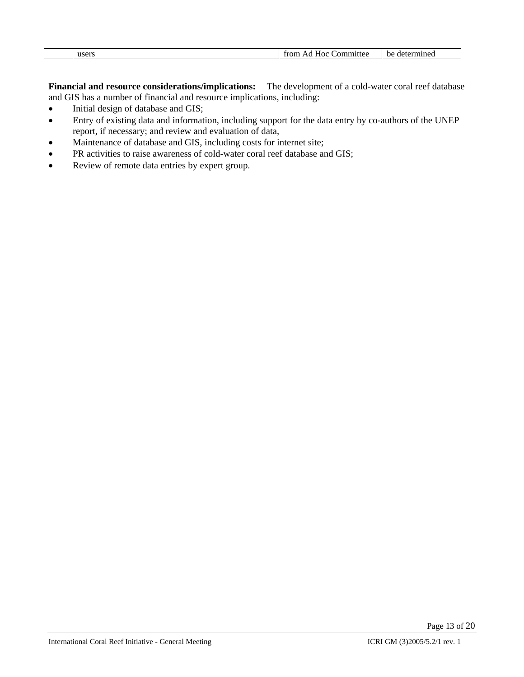| from Ad<br>user: | . ommittee<br>⊣ос | .<br>DЕ<br>"'mmet.<br>$1e^{rt}$ |
|------------------|-------------------|---------------------------------|

**Financial and resource considerations/implications:** The development of a cold-water coral reef database and GIS has a number of financial and resource implications, including:

- Initial design of database and GIS;
- Entry of existing data and information, including support for the data entry by co-authors of the UNEP report, if necessary; and review and evaluation of data,
- Maintenance of database and GIS, including costs for internet site;
- PR activities to raise awareness of cold-water coral reef database and GIS;
- Review of remote data entries by expert group.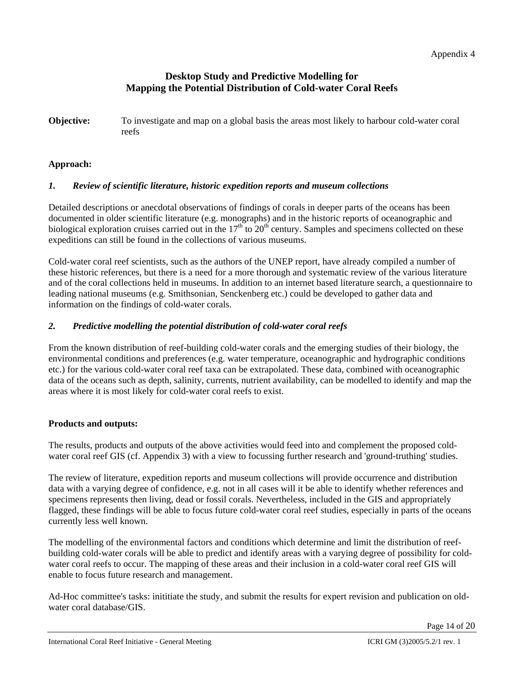# **Desktop Study and Predictive Modelling for Mapping the Potential Distribution of Cold-water Coral Reefs**

**Objective:** To investigate and map on a global basis the areas most likely to harbour cold-water coral reefs

## **Approach:**

## *1. Review of scientific literature, historic expedition reports and museum collections*

Detailed descriptions or anecdotal observations of findings of corals in deeper parts of the oceans has been documented in older scientific literature (e.g. monographs) and in the historic reports of oceanographic and biological exploration cruises carried out in the  $17<sup>th</sup>$  to  $20<sup>th</sup>$  century. Samples and specimens collected on these expeditions can still be found in the collections of various museums.

Cold-water coral reef scientists, such as the authors of the UNEP report, have already compiled a number of these historic references, but there is a need for a more thorough and systematic review of the various literature and of the coral collections held in museums. In addition to an internet based literature search, a questionnaire to leading national museums (e.g. Smithsonian, Senckenberg etc.) could be developed to gather data and information on the findings of cold-water corals.

## *2. Predictive modelling the potential distribution of cold-water coral reefs*

From the known distribution of reef-building cold-water corals and the emerging studies of their biology, the environmental conditions and preferences (e.g. water temperature, oceanographic and hydrographic conditions etc.) for the various cold-water coral reef taxa can be extrapolated. These data, combined with oceanographic data of the oceans such as depth, salinity, currents, nutrient availability, can be modelled to identify and map the areas where it is most likely for cold-water coral reefs to exist.

## **Products and outputs:**

The results, products and outputs of the above activities would feed into and complement the proposed coldwater coral reef GIS (cf. Appendix 3) with a view to focussing further research and 'ground-truthing' studies.

The review of literature, expedition reports and museum collections will provide occurrence and distribution data with a varying degree of confidence, e.g. not in all cases will it be able to identify whether references and specimens represents then living, dead or fossil corals. Nevertheless, included in the GIS and appropriately flagged, these findings will be able to focus future cold-water coral reef studies, especially in parts of the oceans currently less well known.

The modelling of the environmental factors and conditions which determine and limit the distribution of reefbuilding cold-water corals will be able to predict and identify areas with a varying degree of possibility for coldwater coral reefs to occur. The mapping of these areas and their inclusion in a cold-water coral reef GIS will enable to focus future research and management.

Ad-Hoc committee's tasks: inititiate the study, and submit the results for expert revision and publication on oldwater coral database/GIS.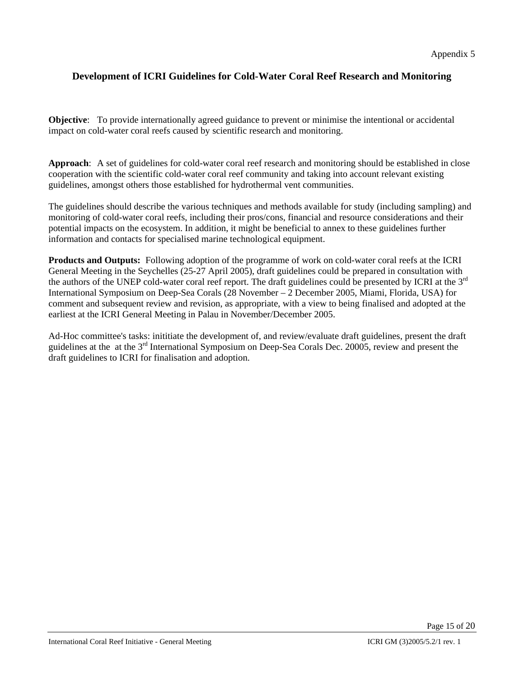# **Development of ICRI Guidelines for Cold-Water Coral Reef Research and Monitoring**

**Objective**: To provide internationally agreed guidance to prevent or minimise the intentional or accidental impact on cold-water coral reefs caused by scientific research and monitoring.

**Approach**: A set of guidelines for cold-water coral reef research and monitoring should be established in close cooperation with the scientific cold-water coral reef community and taking into account relevant existing guidelines, amongst others those established for hydrothermal vent communities.

The guidelines should describe the various techniques and methods available for study (including sampling) and monitoring of cold-water coral reefs, including their pros/cons, financial and resource considerations and their potential impacts on the ecosystem. In addition, it might be beneficial to annex to these guidelines further information and contacts for specialised marine technological equipment.

**Products and Outputs:** Following adoption of the programme of work on cold-water coral reefs at the ICRI General Meeting in the Seychelles (25-27 April 2005), draft guidelines could be prepared in consultation with the authors of the UNEP cold-water coral reef report. The draft guidelines could be presented by ICRI at the  $3<sup>rd</sup>$ International Symposium on Deep-Sea Corals (28 November – 2 December 2005, Miami, Florida, USA) for comment and subsequent review and revision, as appropriate, with a view to being finalised and adopted at the earliest at the ICRI General Meeting in Palau in November/December 2005.

Ad-Hoc committee's tasks: inititiate the development of, and review/evaluate draft guidelines, present the draft guidelines at the at the 3rd International Symposium on Deep-Sea Corals Dec. 20005, review and present the draft guidelines to ICRI for finalisation and adoption.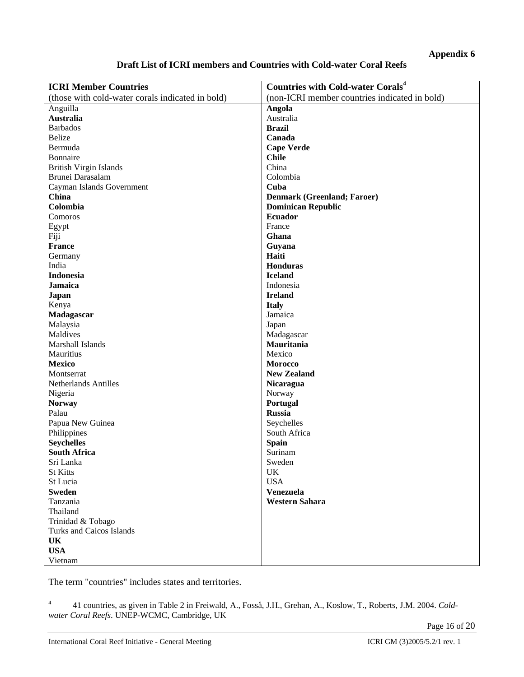## **Appendix 6**

## **Draft List of ICRI members and Countries with Cold-water Coral Reefs**

| <b>ICRI Member Countries</b>                     | <b>Countries with Cold-water Corals<sup>4</sup></b> |
|--------------------------------------------------|-----------------------------------------------------|
| (those with cold-water corals indicated in bold) | (non-ICRI member countries indicated in bold)       |
| Anguilla                                         | Angola                                              |
| <b>Australia</b>                                 | Australia                                           |
| <b>Barbados</b>                                  | <b>Brazil</b>                                       |
| <b>Belize</b>                                    | Canada                                              |
| Bermuda                                          | <b>Cape Verde</b>                                   |
| Bonnaire                                         | <b>Chile</b>                                        |
| <b>British Virgin Islands</b>                    | China                                               |
| Brunei Darasalam                                 | Colombia                                            |
| Cayman Islands Government                        | Cuba                                                |
| China                                            | <b>Denmark (Greenland; Faroer)</b>                  |
| Colombia                                         | <b>Dominican Republic</b>                           |
| Comoros                                          | <b>Ecuador</b>                                      |
|                                                  | France                                              |
| Egypt                                            |                                                     |
| Fiji                                             | Ghana                                               |
| <b>France</b>                                    | Guyana                                              |
| Germany                                          | Haiti                                               |
| India                                            | <b>Honduras</b>                                     |
| <b>Indonesia</b>                                 | <b>Iceland</b>                                      |
| <b>Jamaica</b>                                   | Indonesia                                           |
| <b>Japan</b>                                     | <b>Ireland</b>                                      |
| Kenya                                            | <b>Italy</b>                                        |
| Madagascar                                       | Jamaica                                             |
| Malaysia                                         | Japan                                               |
| Maldives                                         | Madagascar                                          |
| Marshall Islands                                 | Mauritania                                          |
| Mauritius                                        | Mexico                                              |
| <b>Mexico</b>                                    | <b>Morocco</b>                                      |
| Montserrat                                       | <b>New Zealand</b>                                  |
| <b>Netherlands Antilles</b>                      | <b>Nicaragua</b>                                    |
| Nigeria                                          | Norway                                              |
| <b>Norway</b>                                    | Portugal                                            |
| Palau                                            | <b>Russia</b>                                       |
| Papua New Guinea                                 | Seychelles                                          |
| Philippines                                      | South Africa                                        |
| <b>Seychelles</b>                                | <b>Spain</b>                                        |
| <b>South Africa</b>                              | Surinam                                             |
| Sri Lanka                                        | Sweden                                              |
| <b>St Kitts</b>                                  | UK                                                  |
| St Lucia                                         | <b>USA</b>                                          |
| <b>Sweden</b>                                    | Venezuela                                           |
| Tanzania                                         | <b>Western Sahara</b>                               |
| Thailand                                         |                                                     |
| Trinidad & Tobago                                |                                                     |
| Turks and Caicos Islands                         |                                                     |
| <b>UK</b>                                        |                                                     |
| <b>USA</b>                                       |                                                     |
|                                                  |                                                     |
| Vietnam                                          |                                                     |

The term "countries" includes states and territories.

Page 16 of 20

 $\frac{1}{4}$  41 countries, as given in Table 2 in Freiwald, A., Fosså, J.H., Grehan, A., Koslow, T., Roberts, J.M. 2004. *Coldwater Coral Reefs*. UNEP-WCMC, Cambridge, UK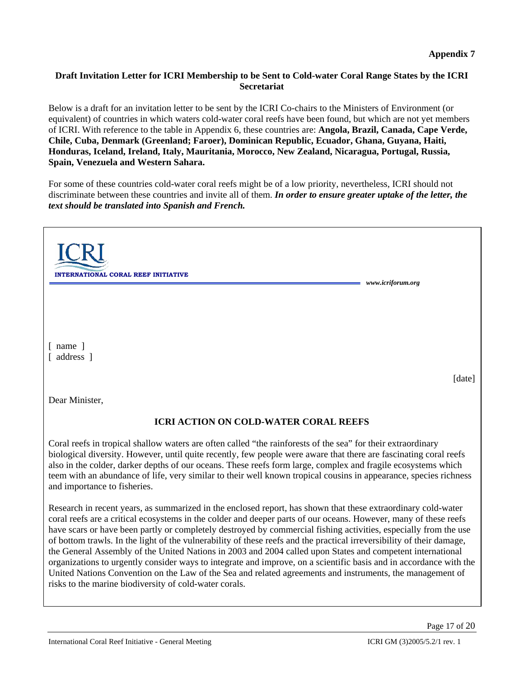## **Draft Invitation Letter for ICRI Membership to be Sent to Cold-water Coral Range States by the ICRI Secretariat**

Below is a draft for an invitation letter to be sent by the ICRI Co-chairs to the Ministers of Environment (or equivalent) of countries in which waters cold-water coral reefs have been found, but which are not yet members of ICRI. With reference to the table in Appendix 6, these countries are: **Angola, Brazil, Canada, Cape Verde, Chile, Cuba, Denmark (Greenland; Faroer), Dominican Republic, Ecuador, Ghana, Guyana, Haiti, Honduras, Iceland, Ireland, Italy, Mauritania, Morocco, New Zealand, Nicaragua, Portugal, Russia, Spain, Venezuela and Western Sahara.** 

For some of these countries cold-water coral reefs might be of a low priority, nevertheless, ICRI should not discriminate between these countries and invite all of them. *In order to ensure greater uptake of the letter, the text should be translated into Spanish and French.*

| <b>INTERNATIONAL CORAL REEF INITIATIVE</b><br>www.icriforum.org                                                                                                                                                                                                                                                                                                                                                                                                                                         |
|---------------------------------------------------------------------------------------------------------------------------------------------------------------------------------------------------------------------------------------------------------------------------------------------------------------------------------------------------------------------------------------------------------------------------------------------------------------------------------------------------------|
| $\lceil$ name $\rceil$<br>[ address ]<br>[date]                                                                                                                                                                                                                                                                                                                                                                                                                                                         |
| Dear Minister,                                                                                                                                                                                                                                                                                                                                                                                                                                                                                          |
| <b>ICRI ACTION ON COLD-WATER CORAL REEFS</b>                                                                                                                                                                                                                                                                                                                                                                                                                                                            |
| Coral reefs in tropical shallow waters are often called "the rainforests of the sea" for their extraordinary<br>biological diversity. However, until quite recently, few people were aware that there are fascinating coral reefs<br>also in the colder, darker depths of our oceans. These reefs form large, complex and fragile ecosystems which<br>teem with an abundance of life, very similar to their well known tropical cousins in appearance, species richness<br>and importance to fisheries. |
| Research in recent years, as summarized in the enclosed report, has shown that these extraordinary cold-water                                                                                                                                                                                                                                                                                                                                                                                           |

coral reefs are a critical ecosystems in the colder and deeper parts of our oceans. However, many of these reefs have scars or have been partly or completely destroyed by commercial fishing activities, especially from the use of bottom trawls. In the light of the vulnerability of these reefs and the practical irreversibility of their damage, the General Assembly of the United Nations in 2003 and 2004 called upon States and competent international organizations to urgently consider ways to integrate and improve, on a scientific basis and in accordance with the United Nations Convention on the Law of the Sea and related agreements and instruments, the management of risks to the marine biodiversity of cold-water corals.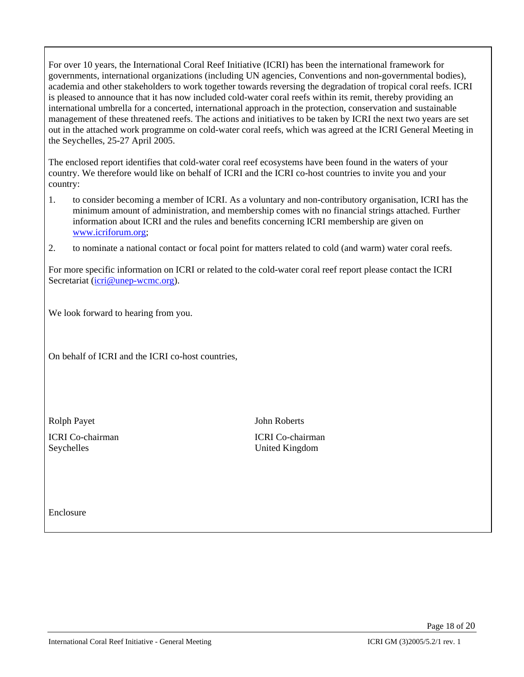For over 10 years, the International Coral Reef Initiative (ICRI) has been the international framework for governments, international organizations (including UN agencies, Conventions and non-governmental bodies), academia and other stakeholders to work together towards reversing the degradation of tropical coral reefs. ICRI is pleased to announce that it has now included cold-water coral reefs within its remit, thereby providing an international umbrella for a concerted, international approach in the protection, conservation and sustainable management of these threatened reefs. The actions and initiatives to be taken by ICRI the next two years are set out in the attached work programme on cold-water coral reefs, which was agreed at the ICRI General Meeting in the Seychelles, 25-27 April 2005.

The enclosed report identifies that cold-water coral reef ecosystems have been found in the waters of your country. We therefore would like on behalf of ICRI and the ICRI co-host countries to invite you and your country:

- 1. to consider becoming a member of ICRI. As a voluntary and non-contributory organisation, ICRI has the minimum amount of administration, and membership comes with no financial strings attached. Further information about ICRI and the rules and benefits concerning ICRI membership are given on www.icriforum.org;
- 2. to nominate a national contact or focal point for matters related to cold (and warm) water coral reefs.

For more specific information on ICRI or related to the cold-water coral reef report please contact the ICRI Secretariat (icri@unep-wcmc.org).

We look forward to hearing from you.

On behalf of ICRI and the ICRI co-host countries,

Seychelles United Kingdom

Rolph Payet John Roberts

ICRI Co-chairman ICRI Co-chairman

Enclosure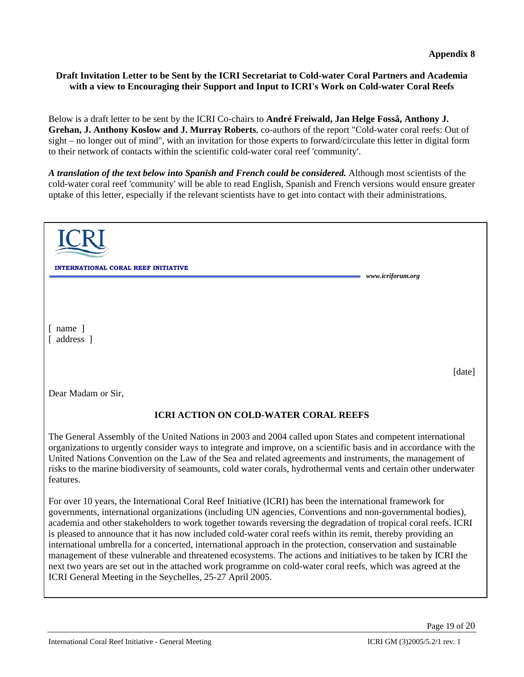## **Draft Invitation Letter to be Sent by the ICRI Secretariat to Cold-water Coral Partners and Academia with a view to Encouraging their Support and Input to ICRI's Work on Cold-water Coral Reefs**

Below is a draft letter to be sent by the ICRI Co-chairs to **André Freiwald, Jan Helge Fosså, Anthony J. Grehan, J. Anthony Koslow and J. Murray Roberts**, co-authors of the report "Cold-water coral reefs: Out of sight – no longer out of mind", with an invitation for those experts to forward/circulate this letter in digital form to their network of contacts within the scientific cold-water coral reef 'community'.

*A translation of the text below into Spanish and French could be considered.* Although most scientists of the cold-water coral reef 'community' will be able to read English, Spanish and French versions would ensure greater uptake of this letter, especially if the relevant scientists have to get into contact with their administrations.

| ERNATIONAL CORAL REEF INITIATIVE                                                                                                                                                                                                                                                                                                                                                                                                                                                | www.icriforum.org |
|---------------------------------------------------------------------------------------------------------------------------------------------------------------------------------------------------------------------------------------------------------------------------------------------------------------------------------------------------------------------------------------------------------------------------------------------------------------------------------|-------------------|
|                                                                                                                                                                                                                                                                                                                                                                                                                                                                                 |                   |
|                                                                                                                                                                                                                                                                                                                                                                                                                                                                                 |                   |
| $\lceil$ name $\rceil$<br>[ address ]                                                                                                                                                                                                                                                                                                                                                                                                                                           |                   |
|                                                                                                                                                                                                                                                                                                                                                                                                                                                                                 | [date]            |
| Dear Madam or Sir,                                                                                                                                                                                                                                                                                                                                                                                                                                                              |                   |
| <b>ICRI ACTION ON COLD-WATER CORAL REEFS</b>                                                                                                                                                                                                                                                                                                                                                                                                                                    |                   |
| The General Assembly of the United Nations in 2003 and 2004 called upon States and competent international<br>organizations to urgently consider ways to integrate and improve, on a scientific basis and in accordance with the<br>United Nations Convention on the Law of the Sea and related agreements and instruments, the management of<br>risks to the marine biodiversity of seamounts, cold water corals, hydrothermal vents and certain other underwater<br>features. |                   |

For over 10 years, the International Coral Reef Initiative (ICRI) has been the international framework for governments, international organizations (including UN agencies, Conventions and non-governmental bodies), academia and other stakeholders to work together towards reversing the degradation of tropical coral reefs. ICRI is pleased to announce that it has now included cold-water coral reefs within its remit, thereby providing an international umbrella for a concerted, international approach in the protection, conservation and sustainable management of these vulnerable and threatened ecosystems. The actions and initiatives to be taken by ICRI the next two years are set out in the attached work programme on cold-water coral reefs, which was agreed at the ICRI General Meeting in the Seychelles, 25-27 April 2005.